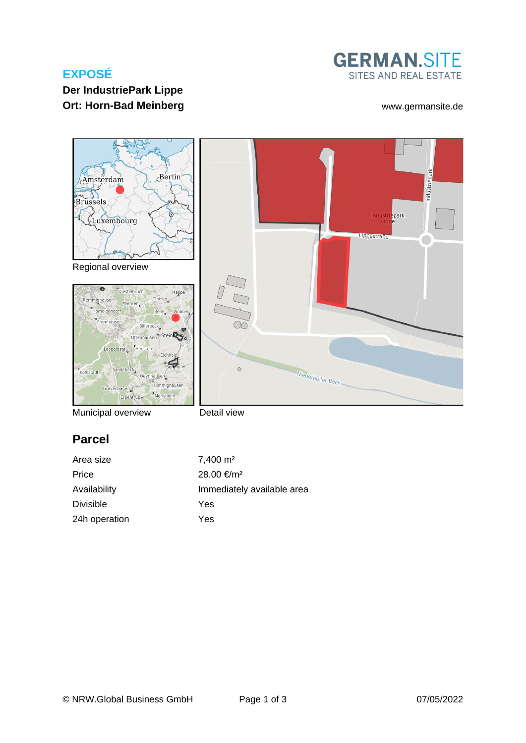# **EXPOSÉ**



# **Der IndustriePark Lippe Ort: Horn-Bad Meinberg Wallet Electronic Control of the Wave Wave Street Area [www.germansite.de](http://www.germansite.de)**



Detail view

# **Parcel**

| Area size        | $7,400 \text{ m}^2$        |
|------------------|----------------------------|
| Price            | 28.00 €/m <sup>2</sup>     |
| Availability     | Immediately available area |
| <b>Divisible</b> | Yes                        |
| 24h operation    | Yes                        |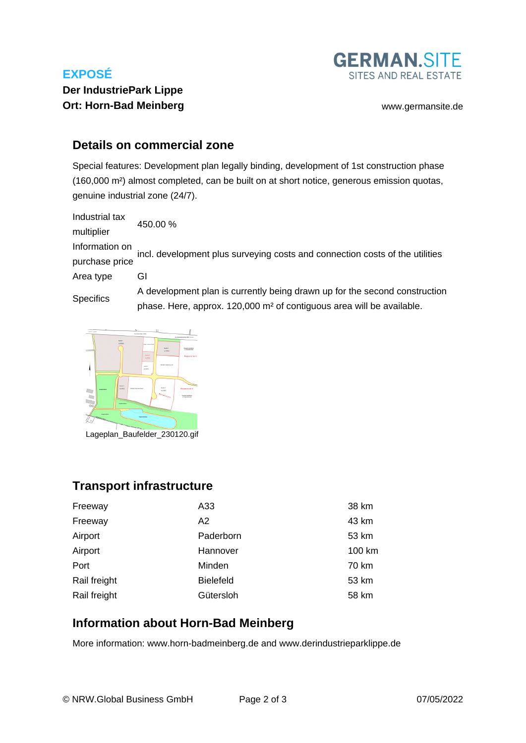# **EXPOSÉ**



# **Der IndustriePark Lippe Ort: Horn-Bad Meinberg Wallet Except Controllering and Wave Wave American Controllering and Wave American Controllering and Wave American Controllering and Wave American Controllering and Wave American Controllering and M**

### **Details on commercial zone**

Special features: Development plan legally binding, development of 1st construction phase (160,000 m²) almost completed, can be built on at short notice, generous emission quotas, genuine industrial zone (24/7).

Industrial tax multiplier 450.00 % Information on purchase price incl. development plus surveying costs and connection costs of the utilities Area type GI **Specifics** A development plan is currently being drawn up for the second construction

phase. Here, approx. 120,000 m² of contiguous area will be available.



Lageplan\_Baufelder\_230120.gif

### **Transport infrastructure**

| Freeway      | A33              | 38 km  |
|--------------|------------------|--------|
| Freeway      | A2               | 43 km  |
| Airport      | Paderborn        | 53 km  |
| Airport      | Hannover         | 100 km |
| Port         | Minden           | 70 km  |
| Rail freight | <b>Bielefeld</b> | 53 km  |
| Rail freight | Gütersloh        | 58 km  |

### **Information about Horn-Bad Meinberg**

More information: www.horn-badmeinberg.de and www.derindustrieparklippe.de